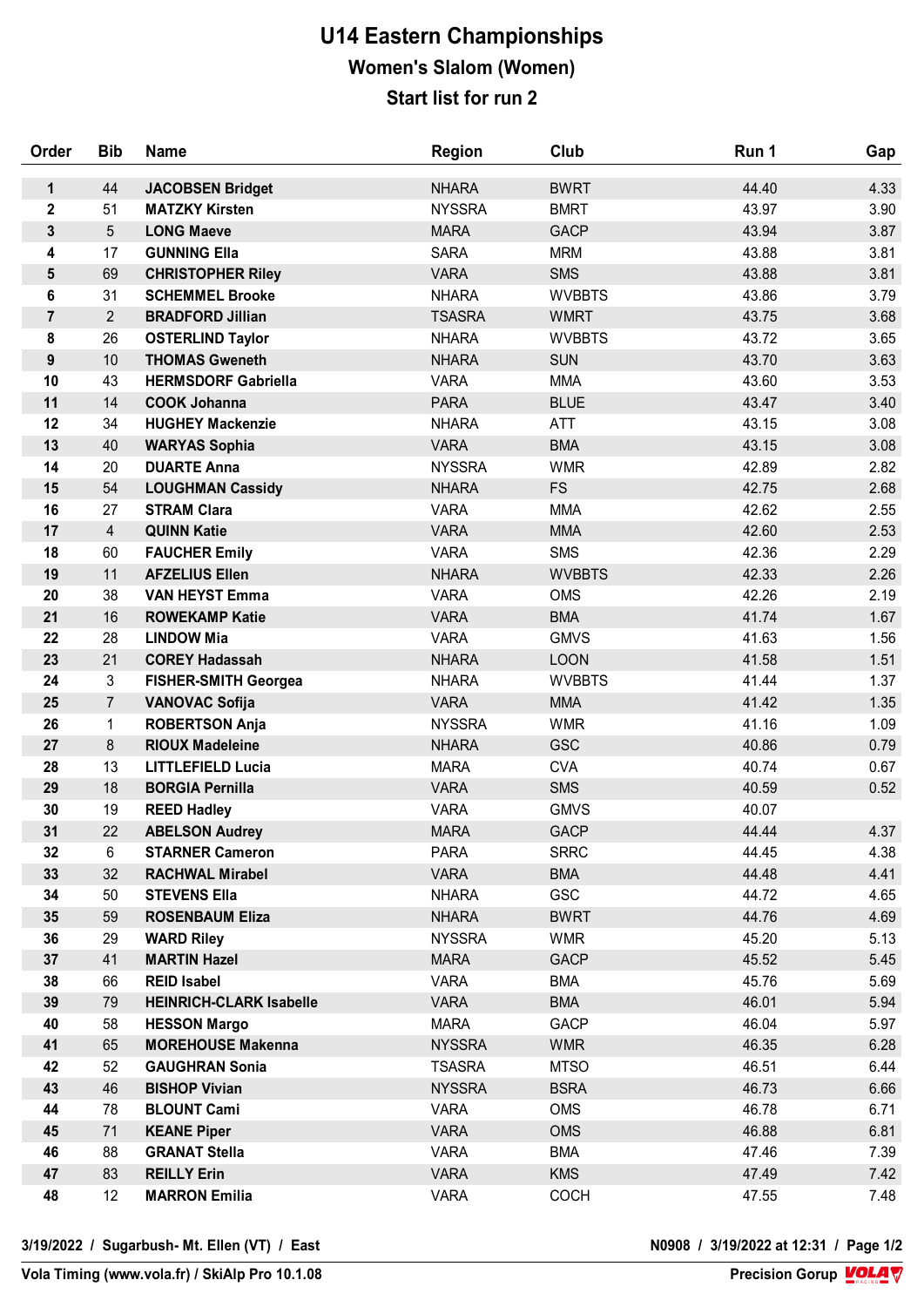## **U14 Eastern Championships Women's Slalom (Women) Start list for run 2**

| Order            | <b>Bib</b>      | <b>Name</b>                              | <b>Region</b>                | Club                     | Run 1          | Gap          |
|------------------|-----------------|------------------------------------------|------------------------------|--------------------------|----------------|--------------|
| 1                | 44              | <b>JACOBSEN Bridget</b>                  | <b>NHARA</b>                 | <b>BWRT</b>              | 44.40          | 4.33         |
| $\mathbf 2$      | 51              | <b>MATZKY Kirsten</b>                    | <b>NYSSRA</b>                | <b>BMRT</b>              | 43.97          | 3.90         |
| 3                | 5               | <b>LONG Maeve</b>                        | <b>MARA</b>                  | <b>GACP</b>              | 43.94          | 3.87         |
| 4                | 17              | <b>GUNNING Ella</b>                      | <b>SARA</b>                  | <b>MRM</b>               | 43.88          | 3.81         |
| 5                | 69              | <b>CHRISTOPHER Riley</b>                 | <b>VARA</b>                  | <b>SMS</b>               | 43.88          | 3.81         |
| 6                | 31              | <b>SCHEMMEL Brooke</b>                   | <b>NHARA</b>                 | <b>WVBBTS</b>            | 43.86          | 3.79         |
| $\overline{7}$   | $\overline{2}$  | <b>BRADFORD Jillian</b>                  | <b>TSASRA</b>                | <b>WMRT</b>              | 43.75          | 3.68         |
| 8                | 26              | <b>OSTERLIND Taylor</b>                  | <b>NHARA</b>                 | <b>WVBBTS</b>            | 43.72          | 3.65         |
| $\boldsymbol{9}$ | 10 <sup>1</sup> | <b>THOMAS Gweneth</b>                    | <b>NHARA</b>                 | <b>SUN</b>               | 43.70          | 3.63         |
| 10               | 43              | <b>HERMSDORF Gabriella</b>               | <b>VARA</b>                  | <b>MMA</b>               | 43.60          | 3.53         |
| 11               | 14              | <b>COOK Johanna</b>                      | <b>PARA</b>                  | <b>BLUE</b>              | 43.47          | 3.40         |
| 12               | 34              | <b>HUGHEY Mackenzie</b>                  | <b>NHARA</b>                 | <b>ATT</b>               | 43.15          | 3.08         |
| 13               | 40              | <b>WARYAS Sophia</b>                     | <b>VARA</b>                  | <b>BMA</b>               | 43.15          | 3.08         |
| 14               | 20              | <b>DUARTE Anna</b>                       | <b>NYSSRA</b>                | <b>WMR</b>               | 42.89          | 2.82         |
| 15               | 54              | <b>LOUGHMAN Cassidy</b>                  | <b>NHARA</b>                 | <b>FS</b>                | 42.75          | 2.68         |
| 16               | 27              | <b>STRAM Clara</b>                       | <b>VARA</b>                  | <b>MMA</b>               | 42.62          | 2.55         |
| 17               | $\overline{4}$  | <b>QUINN Katie</b>                       | <b>VARA</b>                  | <b>MMA</b>               | 42.60          | 2.53         |
| 18               | 60              | <b>FAUCHER Emily</b>                     | <b>VARA</b>                  | <b>SMS</b>               | 42.36          | 2.29         |
| 19               | 11              | <b>AFZELIUS Ellen</b>                    | <b>NHARA</b>                 | <b>WVBBTS</b>            | 42.33          | 2.26         |
| 20               | 38              | <b>VAN HEYST Emma</b>                    | <b>VARA</b>                  | <b>OMS</b>               | 42.26          | 2.19         |
| 21               | 16              | <b>ROWEKAMP Katie</b>                    | <b>VARA</b>                  | <b>BMA</b>               | 41.74          | 1.67         |
| 22               | 28              | <b>LINDOW Mia</b>                        | <b>VARA</b>                  | <b>GMVS</b>              | 41.63          | 1.56         |
| 23               | 21              | <b>COREY Hadassah</b>                    | <b>NHARA</b>                 | <b>LOON</b>              | 41.58          | 1.51         |
| 24               | 3               | <b>FISHER-SMITH Georgea</b>              | <b>NHARA</b>                 | <b>WVBBTS</b>            | 41.44          | 1.37         |
| 25               | $\overline{7}$  | <b>VANOVAC Sofija</b>                    | <b>VARA</b>                  | <b>MMA</b>               | 41.42          | 1.35         |
| 26               | 1               | <b>ROBERTSON Anja</b>                    | <b>NYSSRA</b>                | <b>WMR</b>               | 41.16          | 1.09         |
| 27               | 8               | <b>RIOUX Madeleine</b>                   | <b>NHARA</b>                 | <b>GSC</b>               | 40.86          | 0.79         |
| 28               | 13              | <b>LITTLEFIELD Lucia</b>                 | <b>MARA</b>                  | <b>CVA</b>               | 40.74          | 0.67         |
| 29               | 18              | <b>BORGIA Pernilla</b>                   | <b>VARA</b>                  | <b>SMS</b>               | 40.59          | 0.52         |
| 30               | 19              | <b>REED Hadley</b>                       | <b>VARA</b>                  | <b>GMVS</b>              | 40.07          |              |
| 31               | 22              | <b>ABELSON Audrey</b>                    | <b>MARA</b>                  | <b>GACP</b>              | 44.44          | 4.37         |
| 32               | 6               | <b>STARNER Cameron</b>                   | <b>PARA</b>                  | <b>SRRC</b>              | 44.45          | 4.38         |
| 33               | 32              | <b>RACHWAL Mirabel</b>                   | <b>VARA</b>                  | <b>BMA</b>               | 44.48          | 4.41         |
| 34               | 50              | <b>STEVENS Ella</b>                      | <b>NHARA</b>                 | <b>GSC</b>               | 44.72          | 4.65         |
| 35               | 59              | <b>ROSENBAUM Eliza</b>                   | <b>NHARA</b>                 | <b>BWRT</b>              | 44.76          | 4.69         |
| 36<br>37         | 29<br>41        | <b>WARD Riley</b><br><b>MARTIN Hazel</b> | <b>NYSSRA</b><br><b>MARA</b> | <b>WMR</b>               | 45.20          | 5.13<br>5.45 |
| 38               |                 | <b>REID Isabel</b>                       | <b>VARA</b>                  | <b>GACP</b>              | 45.52          | 5.69         |
| 39               | 66<br>79        | <b>HEINRICH-CLARK Isabelle</b>           | <b>VARA</b>                  | <b>BMA</b><br><b>BMA</b> | 45.76<br>46.01 | 5.94         |
| 40               | 58              | <b>HESSON Margo</b>                      | <b>MARA</b>                  | GACP                     | 46.04          | 5.97         |
| 41               | 65              | <b>MOREHOUSE Makenna</b>                 | <b>NYSSRA</b>                | <b>WMR</b>               | 46.35          | 6.28         |
| 42               | 52              | <b>GAUGHRAN Sonia</b>                    | <b>TSASRA</b>                | <b>MTSO</b>              | 46.51          | 6.44         |
| 43               | 46              | <b>BISHOP Vivian</b>                     | <b>NYSSRA</b>                | <b>BSRA</b>              | 46.73          | 6.66         |
| 44               | 78              | <b>BLOUNT Cami</b>                       | <b>VARA</b>                  | OMS                      | 46.78          | 6.71         |
| 45               | 71              | <b>KEANE Piper</b>                       | <b>VARA</b>                  | <b>OMS</b>               | 46.88          | 6.81         |
| 46               | 88              | <b>GRANAT Stella</b>                     | <b>VARA</b>                  | <b>BMA</b>               | 47.46          | 7.39         |
| 47               | 83              | <b>REILLY Erin</b>                       | <b>VARA</b>                  | <b>KMS</b>               | 47.49          | 7.42         |
| 48               | 12              | <b>MARRON Emilia</b>                     | <b>VARA</b>                  | <b>COCH</b>              | 47.55          | 7.48         |
|                  |                 |                                          |                              |                          |                |              |